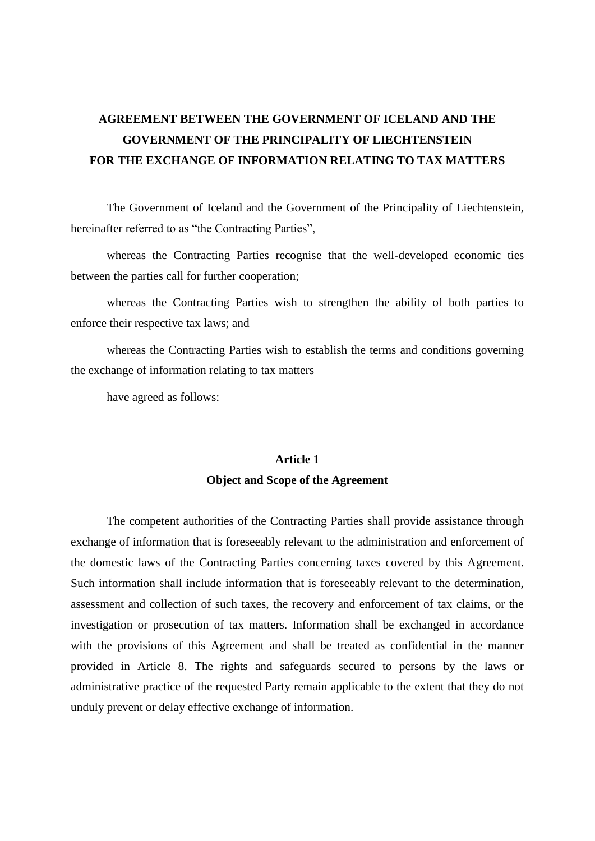# **AGREEMENT BETWEEN THE GOVERNMENT OF ICELAND AND THE GOVERNMENT OF THE PRINCIPALITY OF LIECHTENSTEIN FOR THE EXCHANGE OF INFORMATION RELATING TO TAX MATTERS**

The Government of Iceland and the Government of the Principality of Liechtenstein, hereinafter referred to as "the Contracting Parties",

whereas the Contracting Parties recognise that the well-developed economic ties between the parties call for further cooperation;

whereas the Contracting Parties wish to strengthen the ability of both parties to enforce their respective tax laws; and

whereas the Contracting Parties wish to establish the terms and conditions governing the exchange of information relating to tax matters

have agreed as follows:

## **Article 1 Object and Scope of the Agreement**

The competent authorities of the Contracting Parties shall provide assistance through exchange of information that is foreseeably relevant to the administration and enforcement of the domestic laws of the Contracting Parties concerning taxes covered by this Agreement. Such information shall include information that is foreseeably relevant to the determination, assessment and collection of such taxes, the recovery and enforcement of tax claims, or the investigation or prosecution of tax matters. Information shall be exchanged in accordance with the provisions of this Agreement and shall be treated as confidential in the manner provided in Article 8. The rights and safeguards secured to persons by the laws or administrative practice of the requested Party remain applicable to the extent that they do not unduly prevent or delay effective exchange of information.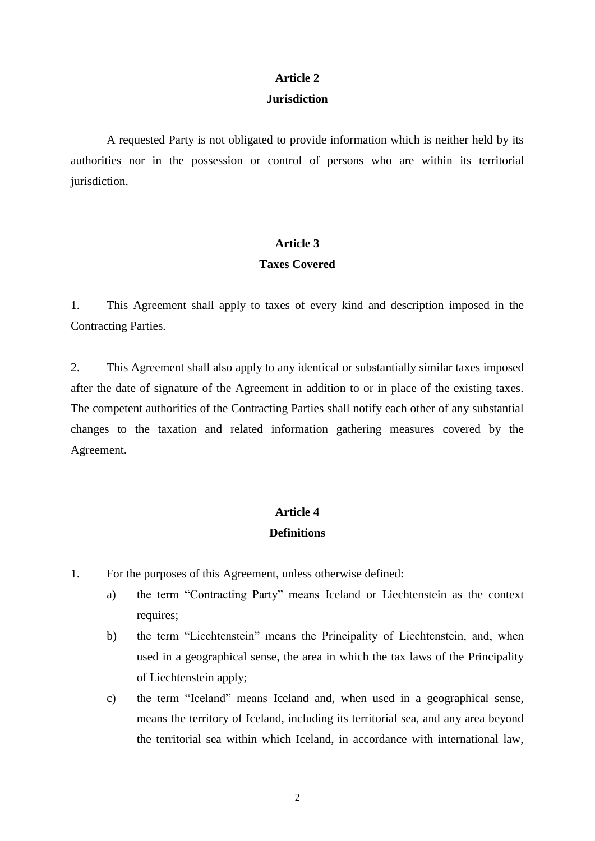## **Article 2**

#### **Jurisdiction**

A requested Party is not obligated to provide information which is neither held by its authorities nor in the possession or control of persons who are within its territorial jurisdiction.

### **Article 3**

### **Taxes Covered**

1. This Agreement shall apply to taxes of every kind and description imposed in the Contracting Parties.

2. This Agreement shall also apply to any identical or substantially similar taxes imposed after the date of signature of the Agreement in addition to or in place of the existing taxes. The competent authorities of the Contracting Parties shall notify each other of any substantial changes to the taxation and related information gathering measures covered by the Agreement.

# **Article 4**

## **Definitions**

- 1. For the purposes of this Agreement, unless otherwise defined:
	- a) the term "Contracting Party" means Iceland or Liechtenstein as the context requires;
	- b) the term "Liechtenstein" means the Principality of Liechtenstein, and, when used in a geographical sense, the area in which the tax laws of the Principality of Liechtenstein apply;
	- c) the term "Iceland" means Iceland and, when used in a geographical sense, means the territory of Iceland, including its territorial sea, and any area beyond the territorial sea within which Iceland, in accordance with international law,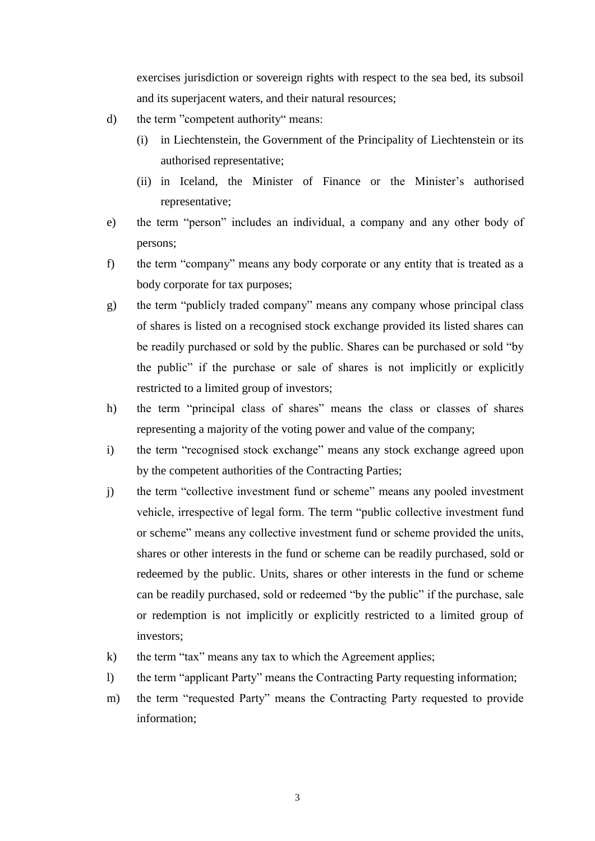exercises jurisdiction or sovereign rights with respect to the sea bed, its subsoil and its superjacent waters, and their natural resources;

- d) the term "competent authority" means:
	- (i) in Liechtenstein, the Government of the Principality of Liechtenstein or its authorised representative;
	- (ii) in Iceland, the Minister of Finance or the Minister's authorised representative;
- e) the term "person" includes an individual, a company and any other body of persons;
- f) the term "company" means any body corporate or any entity that is treated as a body corporate for tax purposes;
- g) the term "publicly traded company" means any company whose principal class of shares is listed on a recognised stock exchange provided its listed shares can be readily purchased or sold by the public. Shares can be purchased or sold "by the public" if the purchase or sale of shares is not implicitly or explicitly restricted to a limited group of investors;
- h) the term "principal class of shares" means the class or classes of shares representing a majority of the voting power and value of the company;
- i) the term "recognised stock exchange" means any stock exchange agreed upon by the competent authorities of the Contracting Parties;
- j) the term "collective investment fund or scheme" means any pooled investment vehicle, irrespective of legal form. The term "public collective investment fund or scheme" means any collective investment fund or scheme provided the units, shares or other interests in the fund or scheme can be readily purchased, sold or redeemed by the public. Units, shares or other interests in the fund or scheme can be readily purchased, sold or redeemed "by the public" if the purchase, sale or redemption is not implicitly or explicitly restricted to a limited group of investors;
- k) the term "tax" means any tax to which the Agreement applies;
- l) the term "applicant Party" means the Contracting Party requesting information;
- m) the term "requested Party" means the Contracting Party requested to provide information;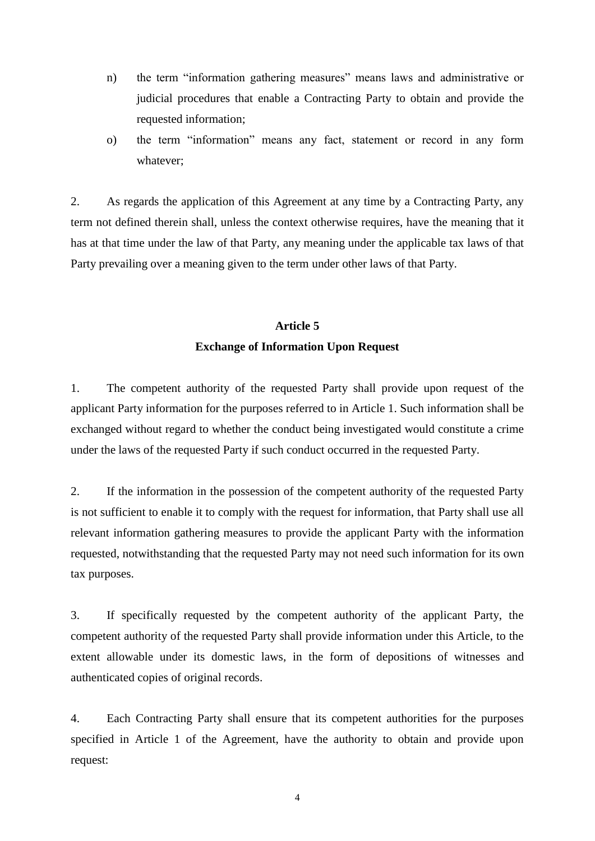- n) the term "information gathering measures" means laws and administrative or judicial procedures that enable a Contracting Party to obtain and provide the requested information;
- o) the term "information" means any fact, statement or record in any form whatever;

2. As regards the application of this Agreement at any time by a Contracting Party, any term not defined therein shall, unless the context otherwise requires, have the meaning that it has at that time under the law of that Party, any meaning under the applicable tax laws of that Party prevailing over a meaning given to the term under other laws of that Party.

## **Article 5 Exchange of Information Upon Request**

1. The competent authority of the requested Party shall provide upon request of the applicant Party information for the purposes referred to in Article 1. Such information shall be exchanged without regard to whether the conduct being investigated would constitute a crime under the laws of the requested Party if such conduct occurred in the requested Party.

2. If the information in the possession of the competent authority of the requested Party is not sufficient to enable it to comply with the request for information, that Party shall use all relevant information gathering measures to provide the applicant Party with the information requested, notwithstanding that the requested Party may not need such information for its own tax purposes.

3. If specifically requested by the competent authority of the applicant Party, the competent authority of the requested Party shall provide information under this Article, to the extent allowable under its domestic laws, in the form of depositions of witnesses and authenticated copies of original records.

4. Each Contracting Party shall ensure that its competent authorities for the purposes specified in Article 1 of the Agreement, have the authority to obtain and provide upon request:

4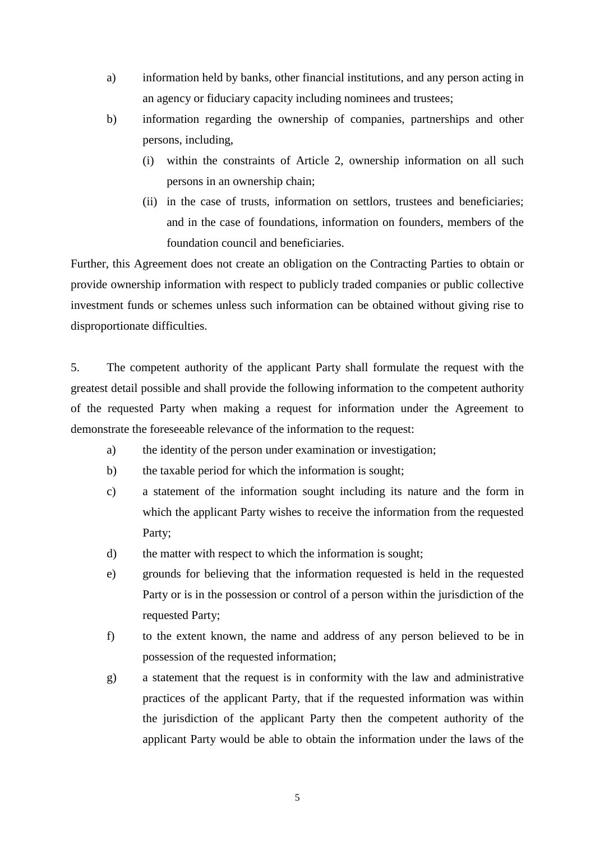- a) information held by banks, other financial institutions, and any person acting in an agency or fiduciary capacity including nominees and trustees;
- b) information regarding the ownership of companies, partnerships and other persons, including,
	- (i) within the constraints of Article 2, ownership information on all such persons in an ownership chain;
	- (ii) in the case of trusts, information on settlors, trustees and beneficiaries; and in the case of foundations, information on founders, members of the foundation council and beneficiaries.

Further, this Agreement does not create an obligation on the Contracting Parties to obtain or provide ownership information with respect to publicly traded companies or public collective investment funds or schemes unless such information can be obtained without giving rise to disproportionate difficulties.

5. The competent authority of the applicant Party shall formulate the request with the greatest detail possible and shall provide the following information to the competent authority of the requested Party when making a request for information under the Agreement to demonstrate the foreseeable relevance of the information to the request:

- a) the identity of the person under examination or investigation;
- b) the taxable period for which the information is sought;
- c) a statement of the information sought including its nature and the form in which the applicant Party wishes to receive the information from the requested Party;
- d) the matter with respect to which the information is sought;
- e) grounds for believing that the information requested is held in the requested Party or is in the possession or control of a person within the jurisdiction of the requested Party;
- f) to the extent known, the name and address of any person believed to be in possession of the requested information;
- g) a statement that the request is in conformity with the law and administrative practices of the applicant Party, that if the requested information was within the jurisdiction of the applicant Party then the competent authority of the applicant Party would be able to obtain the information under the laws of the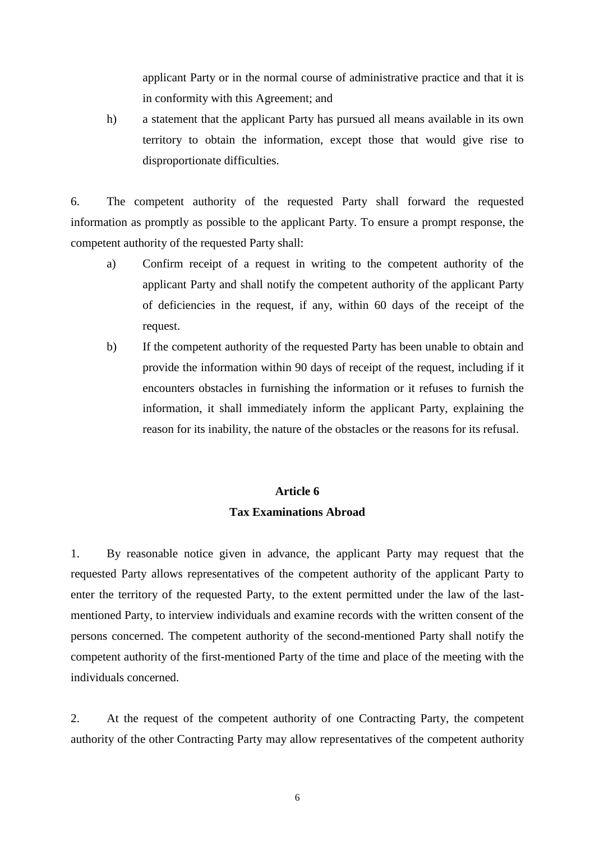applicant Party or in the normal course of administrative practice and that it is in conformity with this Agreement; and

h) a statement that the applicant Party has pursued all means available in its own territory to obtain the information, except those that would give rise to disproportionate difficulties.

6. The competent authority of the requested Party shall forward the requested information as promptly as possible to the applicant Party. To ensure a prompt response, the competent authority of the requested Party shall:

- a) Confirm receipt of a request in writing to the competent authority of the applicant Party and shall notify the competent authority of the applicant Party of deficiencies in the request, if any, within 60 days of the receipt of the request.
- b) If the competent authority of the requested Party has been unable to obtain and provide the information within 90 days of receipt of the request, including if it encounters obstacles in furnishing the information or it refuses to furnish the information, it shall immediately inform the applicant Party, explaining the reason for its inability, the nature of the obstacles or the reasons for its refusal.

## **Article 6 Tax Examinations Abroad**

1. By reasonable notice given in advance, the applicant Party may request that the requested Party allows representatives of the competent authority of the applicant Party to enter the territory of the requested Party, to the extent permitted under the law of the lastmentioned Party, to interview individuals and examine records with the written consent of the persons concerned. The competent authority of the second-mentioned Party shall notify the competent authority of the first-mentioned Party of the time and place of the meeting with the individuals concerned.

2. At the request of the competent authority of one Contracting Party, the competent authority of the other Contracting Party may allow representatives of the competent authority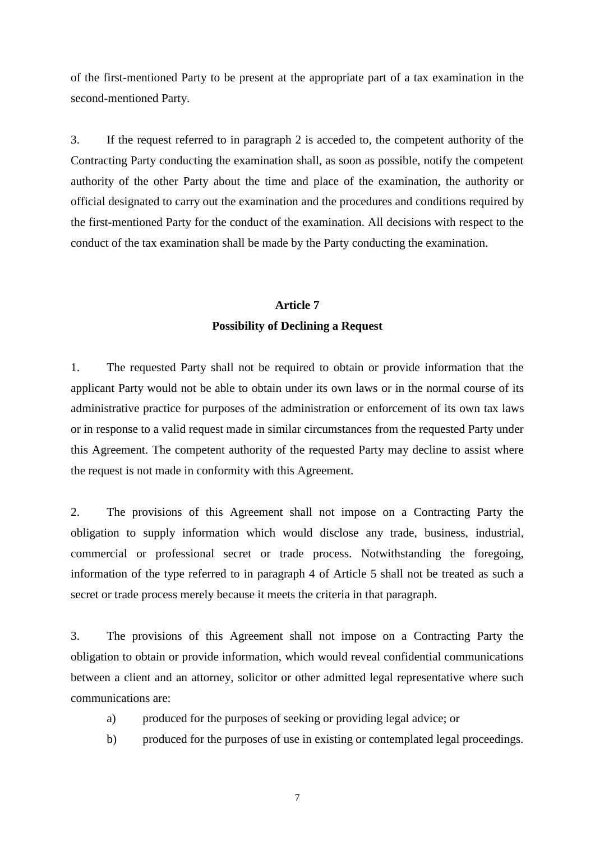of the first-mentioned Party to be present at the appropriate part of a tax examination in the second-mentioned Party.

3. If the request referred to in paragraph 2 is acceded to, the competent authority of the Contracting Party conducting the examination shall, as soon as possible, notify the competent authority of the other Party about the time and place of the examination, the authority or official designated to carry out the examination and the procedures and conditions required by the first-mentioned Party for the conduct of the examination. All decisions with respect to the conduct of the tax examination shall be made by the Party conducting the examination.

## **Article 7 Possibility of Declining a Request**

1. The requested Party shall not be required to obtain or provide information that the applicant Party would not be able to obtain under its own laws or in the normal course of its administrative practice for purposes of the administration or enforcement of its own tax laws or in response to a valid request made in similar circumstances from the requested Party under this Agreement. The competent authority of the requested Party may decline to assist where the request is not made in conformity with this Agreement.

2. The provisions of this Agreement shall not impose on a Contracting Party the obligation to supply information which would disclose any trade, business, industrial, commercial or professional secret or trade process. Notwithstanding the foregoing, information of the type referred to in paragraph 4 of Article 5 shall not be treated as such a secret or trade process merely because it meets the criteria in that paragraph.

3. The provisions of this Agreement shall not impose on a Contracting Party the obligation to obtain or provide information, which would reveal confidential communications between a client and an attorney, solicitor or other admitted legal representative where such communications are:

- a) produced for the purposes of seeking or providing legal advice; or
- b) produced for the purposes of use in existing or contemplated legal proceedings.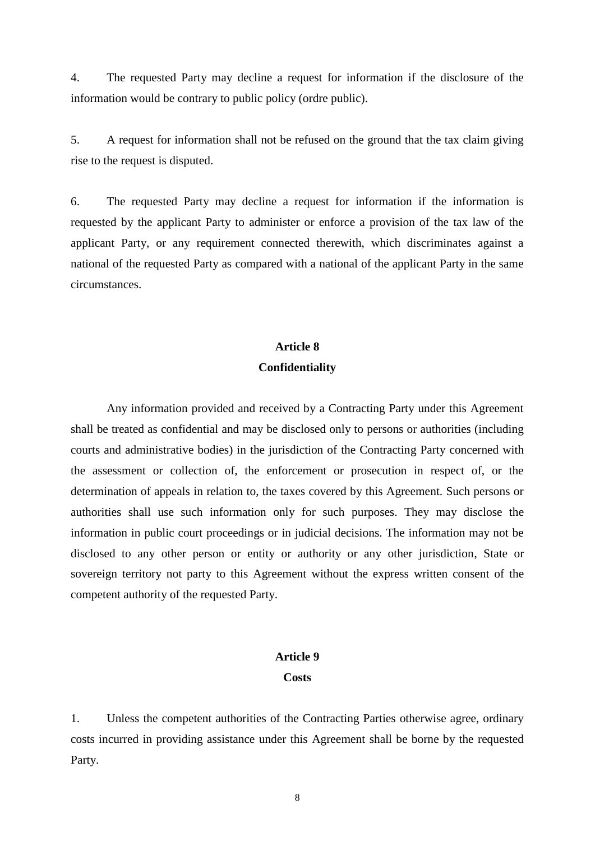4. The requested Party may decline a request for information if the disclosure of the information would be contrary to public policy (ordre public).

5. A request for information shall not be refused on the ground that the tax claim giving rise to the request is disputed.

6. The requested Party may decline a request for information if the information is requested by the applicant Party to administer or enforce a provision of the tax law of the applicant Party, or any requirement connected therewith, which discriminates against a national of the requested Party as compared with a national of the applicant Party in the same circumstances.

# **Article 8**

### **Confidentiality**

Any information provided and received by a Contracting Party under this Agreement shall be treated as confidential and may be disclosed only to persons or authorities (including courts and administrative bodies) in the jurisdiction of the Contracting Party concerned with the assessment or collection of, the enforcement or prosecution in respect of, or the determination of appeals in relation to, the taxes covered by this Agreement. Such persons or authorities shall use such information only for such purposes. They may disclose the information in public court proceedings or in judicial decisions. The information may not be disclosed to any other person or entity or authority or any other jurisdiction, State or sovereign territory not party to this Agreement without the express written consent of the competent authority of the requested Party.

# **Article 9**

#### **Costs**

1. Unless the competent authorities of the Contracting Parties otherwise agree, ordinary costs incurred in providing assistance under this Agreement shall be borne by the requested Party.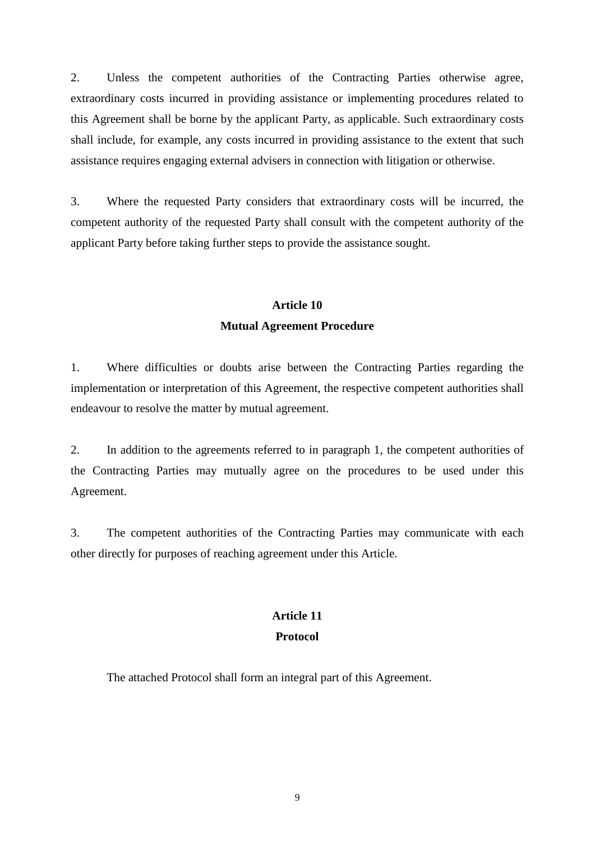2. Unless the competent authorities of the Contracting Parties otherwise agree, extraordinary costs incurred in providing assistance or implementing procedures related to this Agreement shall be borne by the applicant Party, as applicable. Such extraordinary costs shall include, for example, any costs incurred in providing assistance to the extent that such assistance requires engaging external advisers in connection with litigation or otherwise.

3. Where the requested Party considers that extraordinary costs will be incurred, the competent authority of the requested Party shall consult with the competent authority of the applicant Party before taking further steps to provide the assistance sought.

# **Article 10 Mutual Agreement Procedure**

1. Where difficulties or doubts arise between the Contracting Parties regarding the implementation or interpretation of this Agreement, the respective competent authorities shall endeavour to resolve the matter by mutual agreement.

2. In addition to the agreements referred to in paragraph 1, the competent authorities of the Contracting Parties may mutually agree on the procedures to be used under this Agreement.

3. The competent authorities of the Contracting Parties may communicate with each other directly for purposes of reaching agreement under this Article.

## **Article 11 Protocol**

The attached Protocol shall form an integral part of this Agreement.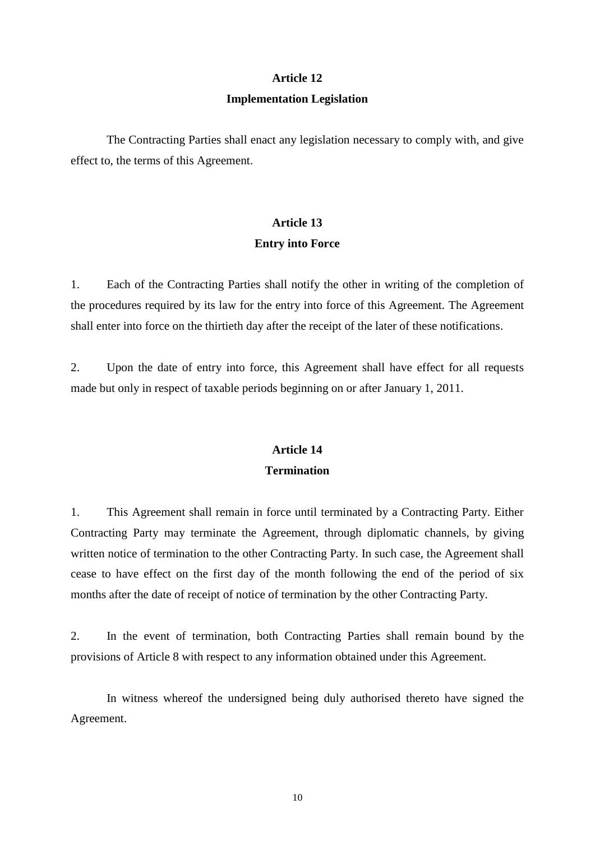#### **Article 12**

#### **Implementation Legislation**

The Contracting Parties shall enact any legislation necessary to comply with, and give effect to, the terms of this Agreement.

# **Article 13 Entry into Force**

1. Each of the Contracting Parties shall notify the other in writing of the completion of the procedures required by its law for the entry into force of this Agreement. The Agreement shall enter into force on the thirtieth day after the receipt of the later of these notifications.

2. Upon the date of entry into force, this Agreement shall have effect for all requests made but only in respect of taxable periods beginning on or after January 1, 2011.

## **Article 14**

## **Termination**

1. This Agreement shall remain in force until terminated by a Contracting Party. Either Contracting Party may terminate the Agreement, through diplomatic channels, by giving written notice of termination to the other Contracting Party. In such case, the Agreement shall cease to have effect on the first day of the month following the end of the period of six months after the date of receipt of notice of termination by the other Contracting Party.

2. In the event of termination, both Contracting Parties shall remain bound by the provisions of Article 8 with respect to any information obtained under this Agreement.

In witness whereof the undersigned being duly authorised thereto have signed the Agreement.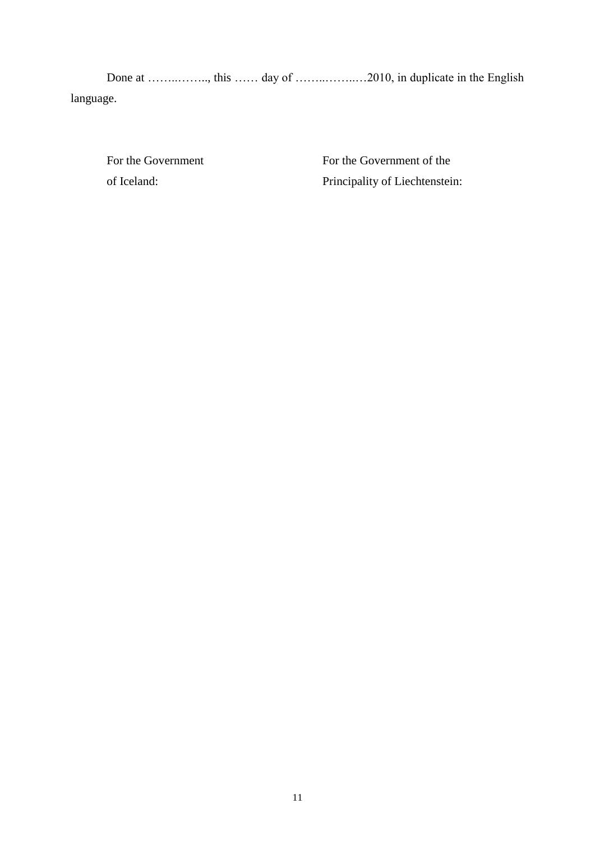language.

For the Government of Iceland:

For the Government of the Principality of Liechtenstein: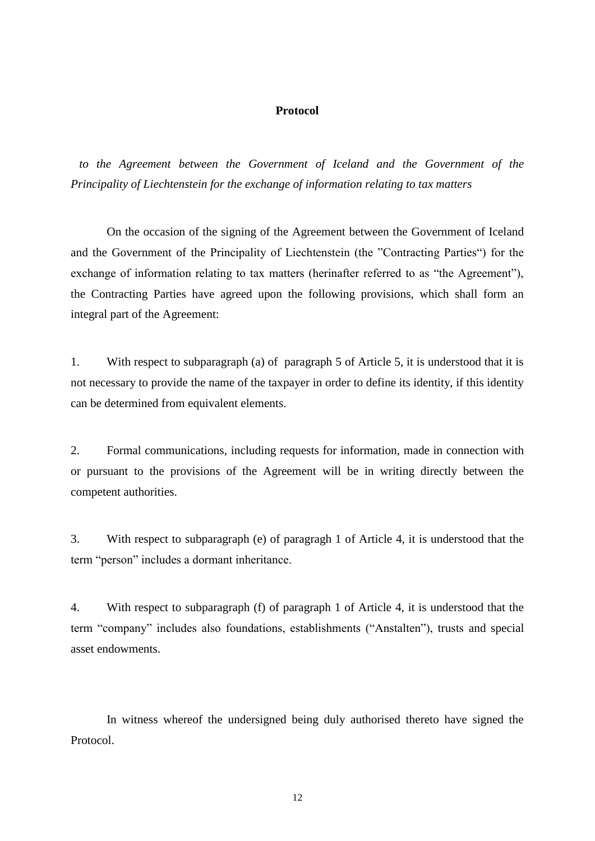#### **Protocol**

*to the Agreement between the Government of Iceland and the Government of the Principality of Liechtenstein for the exchange of information relating to tax matters*

On the occasion of the signing of the Agreement between the Government of Iceland and the Government of the Principality of Liechtenstein (the "Contracting Parties") for the exchange of information relating to tax matters (herinafter referred to as "the Agreement"), the Contracting Parties have agreed upon the following provisions, which shall form an integral part of the Agreement:

1. With respect to subparagraph (a) of paragraph 5 of Article 5, it is understood that it is not necessary to provide the name of the taxpayer in order to define its identity, if this identity can be determined from equivalent elements.

2. Formal communications, including requests for information, made in connection with or pursuant to the provisions of the Agreement will be in writing directly between the competent authorities.

3. With respect to subparagraph (e) of paragragh 1 of Article 4, it is understood that the term "person" includes a dormant inheritance.

4. With respect to subparagraph (f) of paragraph 1 of Article 4, it is understood that the term "company" includes also foundations, establishments ("Anstalten"), trusts and special asset endowments.

In witness whereof the undersigned being duly authorised thereto have signed the Protocol.

12